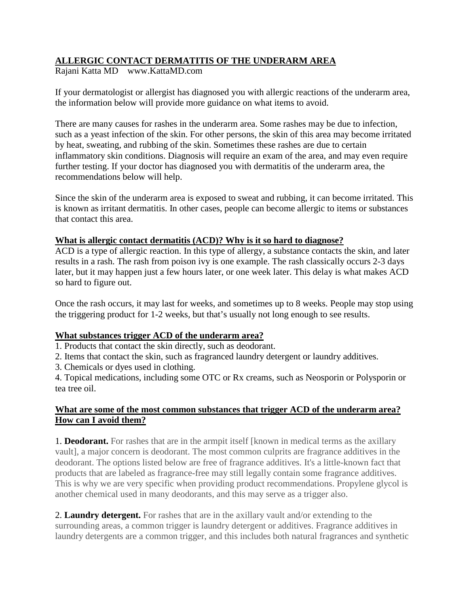## **ALLERGIC CONTACT DERMATITIS OF THE UNDERARM AREA**

Rajani Katta MD www.KattaMD.com

If your dermatologist or allergist has diagnosed you with allergic reactions of the underarm area, the information below will provide more guidance on what items to avoid.

There are many causes for rashes in the underarm area. Some rashes may be due to infection, such as a yeast infection of the skin. For other persons, the skin of this area may become irritated by heat, sweating, and rubbing of the skin. Sometimes these rashes are due to certain inflammatory skin conditions. Diagnosis will require an exam of the area, and may even require further testing. If your doctor has diagnosed you with dermatitis of the underarm area, the recommendations below will help.

Since the skin of the underarm area is exposed to sweat and rubbing, it can become irritated. This is known as irritant dermatitis. In other cases, people can become allergic to items or substances that contact this area.

#### **What is allergic contact dermatitis (ACD)? Why is it so hard to diagnose?**

ACD is a type of allergic reaction. In this type of allergy, a substance contacts the skin, and later results in a rash. The rash from poison ivy is one example. The rash classically occurs 2-3 days later, but it may happen just a few hours later, or one week later. This delay is what makes ACD so hard to figure out.

Once the rash occurs, it may last for weeks, and sometimes up to 8 weeks. People may stop using the triggering product for 1-2 weeks, but that's usually not long enough to see results.

## **What substances trigger ACD of the underarm area?**

1. Products that contact the skin directly, such as deodorant.

2. Items that contact the skin, such as fragranced laundry detergent or laundry additives.

3. Chemicals or dyes used in clothing.

4. Topical medications, including some OTC or Rx creams, such as Neosporin or Polysporin or tea tree oil.

#### **What are some of the most common substances that trigger ACD of the underarm area? How can I avoid them?**

1. **Deodorant.** For rashes that are in the armpit itself [known in medical terms as the axillary vault], a major concern is deodorant. The most common culprits are fragrance additives in the deodorant. The options listed below are free of fragrance additives. It's a little-known fact that products that are labeled as fragrance-free may still legally contain some fragrance additives. This is why we are very specific when providing product recommendations. Propylene glycol is another chemical used in many deodorants, and this may serve as a trigger also.

2. **Laundry detergent.** For rashes that are in the axillary vault and/or extending to the surrounding areas, a common trigger is laundry detergent or additives. Fragrance additives in laundry detergents are a common trigger, and this includes both natural fragrances and synthetic